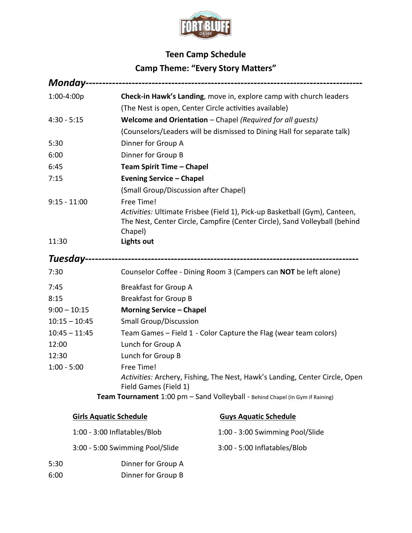

## **Teen Camp Schedule Camp Theme: "Every Story Matters"**

| 1:00-4:00p                      |                                       | Check-in Hawk's Landing, move in, explore camp with church leaders                                                                                       |  |  |
|---------------------------------|---------------------------------------|----------------------------------------------------------------------------------------------------------------------------------------------------------|--|--|
|                                 |                                       | (The Nest is open, Center Circle activities available)                                                                                                   |  |  |
| $4:30 - 5:15$                   |                                       | Welcome and Orientation - Chapel (Required for all quests)                                                                                               |  |  |
|                                 |                                       | (Counselors/Leaders will be dismissed to Dining Hall for separate talk)                                                                                  |  |  |
| 5:30                            | Dinner for Group A                    |                                                                                                                                                          |  |  |
| 6:00                            | Dinner for Group B                    |                                                                                                                                                          |  |  |
| 6:45                            | Team Spirit Time - Chapel             |                                                                                                                                                          |  |  |
| 7:15                            | <b>Evening Service - Chapel</b>       |                                                                                                                                                          |  |  |
|                                 | (Small Group/Discussion after Chapel) |                                                                                                                                                          |  |  |
| $9:15 - 11:00$                  | Free Time!<br>Chapel)                 | Activities: Ultimate Frisbee (Field 1), Pick-up Basketball (Gym), Canteen,<br>The Nest, Center Circle, Campfire (Center Circle), Sand Volleyball (behind |  |  |
| 11:30                           | <b>Lights out</b>                     |                                                                                                                                                          |  |  |
|                                 |                                       |                                                                                                                                                          |  |  |
| 7:30                            |                                       | Counselor Coffee - Dining Room 3 (Campers can NOT be left alone)                                                                                         |  |  |
| 7:45                            | <b>Breakfast for Group A</b>          |                                                                                                                                                          |  |  |
| 8:15                            | <b>Breakfast for Group B</b>          |                                                                                                                                                          |  |  |
| $9:00 - 10:15$                  | <b>Morning Service - Chapel</b>       |                                                                                                                                                          |  |  |
| $10:15 - 10:45$                 | <b>Small Group/Discussion</b>         |                                                                                                                                                          |  |  |
| $10:45 - 11:45$                 |                                       | Team Games - Field 1 - Color Capture the Flag (wear team colors)                                                                                         |  |  |
| 12:00                           | Lunch for Group A                     |                                                                                                                                                          |  |  |
| 12:30                           | Lunch for Group B                     |                                                                                                                                                          |  |  |
| $1:00 - 5:00$                   | Free Time!<br>Field Games (Field 1)   | Activities: Archery, Fishing, The Nest, Hawk's Landing, Center Circle, Open                                                                              |  |  |
|                                 |                                       | Team Tournament 1:00 pm - Sand Volleyball - Behind Chapel (In Gym if Raining)                                                                            |  |  |
|                                 | <b>Girls Aquatic Schedule</b>         | <b>Guys Aquatic Schedule</b>                                                                                                                             |  |  |
| 1:00 - 3:00 Inflatables/Blob    |                                       | 1:00 - 3:00 Swimming Pool/Slide                                                                                                                          |  |  |
| 3:00 - 5:00 Swimming Pool/Slide |                                       | 3:00 - 5:00 Inflatables/Blob                                                                                                                             |  |  |
| 5:30                            | Dinner for Group A                    |                                                                                                                                                          |  |  |

6:00 Dinner for Group B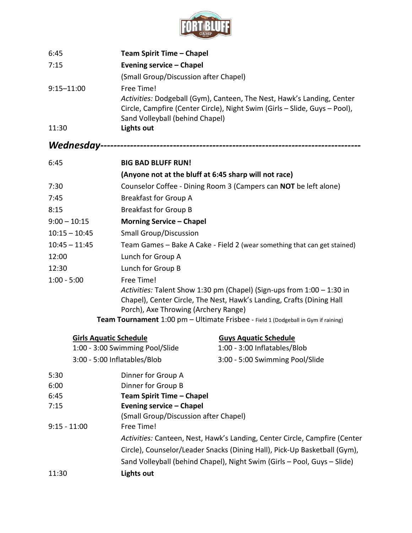

| 6:45                            | Team Spirit Time - Chapel                                                                                                                            |                                                                                    |  |  |
|---------------------------------|------------------------------------------------------------------------------------------------------------------------------------------------------|------------------------------------------------------------------------------------|--|--|
| 7:15                            | <b>Evening service - Chapel</b>                                                                                                                      |                                                                                    |  |  |
|                                 | (Small Group/Discussion after Chapel)                                                                                                                |                                                                                    |  |  |
| $9:15 - 11:00$                  | Free Time!                                                                                                                                           |                                                                                    |  |  |
|                                 | Activities: Dodgeball (Gym), Canteen, The Nest, Hawk's Landing, Center<br>Circle, Campfire (Center Circle), Night Swim (Girls - Slide, Guys - Pool), |                                                                                    |  |  |
|                                 | Sand Volleyball (behind Chapel)                                                                                                                      |                                                                                    |  |  |
| 11:30                           | <b>Lights out</b>                                                                                                                                    |                                                                                    |  |  |
|                                 |                                                                                                                                                      |                                                                                    |  |  |
| 6:45                            | <b>BIG BAD BLUFF RUN!</b>                                                                                                                            |                                                                                    |  |  |
|                                 | (Anyone not at the bluff at 6:45 sharp will not race)                                                                                                |                                                                                    |  |  |
| 7:30                            |                                                                                                                                                      | Counselor Coffee - Dining Room 3 (Campers can NOT be left alone)                   |  |  |
| 7:45                            | <b>Breakfast for Group A</b>                                                                                                                         |                                                                                    |  |  |
| 8:15                            | <b>Breakfast for Group B</b>                                                                                                                         |                                                                                    |  |  |
| $9:00 - 10:15$                  |                                                                                                                                                      | <b>Morning Service - Chapel</b>                                                    |  |  |
| $10:15 - 10:45$                 | <b>Small Group/Discussion</b>                                                                                                                        |                                                                                    |  |  |
| $10:45 - 11:45$                 | Team Games - Bake A Cake - Field 2 (wear something that can get stained)                                                                             |                                                                                    |  |  |
| 12:00                           | Lunch for Group A                                                                                                                                    |                                                                                    |  |  |
| 12:30                           | Lunch for Group B                                                                                                                                    |                                                                                    |  |  |
| $1:00 - 5:00$                   | Free Time!                                                                                                                                           |                                                                                    |  |  |
|                                 | Activities: Talent Show 1:30 pm (Chapel) (Sign-ups from 1:00 - 1:30 in                                                                               |                                                                                    |  |  |
|                                 | Chapel), Center Circle, The Nest, Hawk's Landing, Crafts (Dining Hall                                                                                |                                                                                    |  |  |
|                                 | Porch), Axe Throwing (Archery Range)                                                                                                                 |                                                                                    |  |  |
|                                 |                                                                                                                                                      | Team Tournament 1:00 pm - Ultimate Frisbee - Field 1 (Dodgeball in Gym if raining) |  |  |
| <b>Girls Aquatic Schedule</b>   |                                                                                                                                                      | <b>Guys Aquatic Schedule</b>                                                       |  |  |
| 1:00 - 3:00 Swimming Pool/Slide |                                                                                                                                                      | 1:00 - 3:00 Inflatables/Blob                                                       |  |  |
| 3:00 - 5:00 Inflatables/Blob    |                                                                                                                                                      | 3:00 - 5:00 Swimming Pool/Slide                                                    |  |  |
| 5:30                            | Dinner for Group A                                                                                                                                   |                                                                                    |  |  |
| 6:00                            | Dinner for Group B                                                                                                                                   |                                                                                    |  |  |
| 6:45                            | Team Spirit Time - Chapel                                                                                                                            |                                                                                    |  |  |
| 7:15                            | <b>Evening service - Chapel</b>                                                                                                                      |                                                                                    |  |  |
|                                 | (Small Group/Discussion after Chapel)                                                                                                                |                                                                                    |  |  |
| $9:15 - 11:00$                  | Free Time!                                                                                                                                           |                                                                                    |  |  |
|                                 | Activities: Canteen, Nest, Hawk's Landing, Center Circle, Campfire (Center                                                                           |                                                                                    |  |  |
|                                 | Circle), Counselor/Leader Snacks (Dining Hall), Pick-Up Basketball (Gym),                                                                            |                                                                                    |  |  |
|                                 | Sand Volleyball (behind Chapel), Night Swim (Girls - Pool, Guys - Slide)                                                                             |                                                                                    |  |  |
| 11:30                           | <b>Lights out</b>                                                                                                                                    |                                                                                    |  |  |